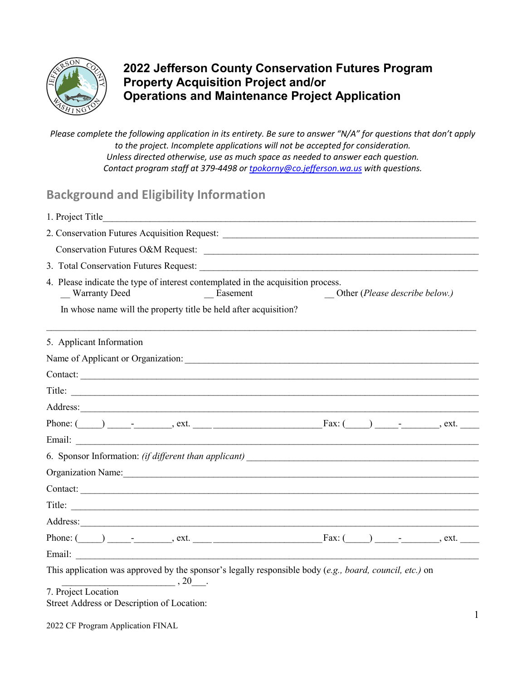

### **2022 Jefferson County Conservation Futures Program Property Acquisition Project and/or Operations and Maintenance Project Application**

*Please complete the following application in its entirety. Be sure to answer "N/A" for questions that don't apply to the project. Incomplete applications will not be accepted for consideration. Unless directed otherwise, use as much space as needed to answer each question. Contact program staff at 379-4498 or [tpokorny@co.jefferson.wa.us](mailto:tpokorny@co.jefferson.wa.us) with questions.*

# **Background and Eligibility Information**

| 1. Project Title                                                                                                                                                                                                               |          |                                         |  |  |
|--------------------------------------------------------------------------------------------------------------------------------------------------------------------------------------------------------------------------------|----------|-----------------------------------------|--|--|
|                                                                                                                                                                                                                                |          |                                         |  |  |
|                                                                                                                                                                                                                                |          |                                         |  |  |
|                                                                                                                                                                                                                                |          |                                         |  |  |
| 4. Please indicate the type of interest contemplated in the acquisition process.<br><b>Warranty Deed</b>                                                                                                                       | Easement | Other ( <i>Please describe below.</i> ) |  |  |
| In whose name will the property title be held after acquisition?                                                                                                                                                               |          |                                         |  |  |
| 5. Applicant Information                                                                                                                                                                                                       |          |                                         |  |  |
| Name of Applicant or Organization:                                                                                                                                                                                             |          |                                         |  |  |
| Contact:                                                                                                                                                                                                                       |          |                                         |  |  |
|                                                                                                                                                                                                                                |          |                                         |  |  |
|                                                                                                                                                                                                                                |          |                                         |  |  |
| Phone: $(\_\_\_\_\_\_\_\_\$ cxt. $\_\_\_\_\_\_\_\_\_\_\_\_\$ rax: $(\_\_\_\_\_\_\_\_\_$ rax: $(\_\_\_\_\_\_\_$ .                                                                                                               |          |                                         |  |  |
| Email: 2008. 2009. 2009. 2009. 2009. 2009. 2009. 2009. 2009. 2009. 2009. 2009. 2009. 2009. 2009. 2009. 2009. 2009. 2009. 2009. 2009. 2009. 2009. 2009. 2009. 2009. 2009. 2009. 2009. 2009. 2009. 2009. 2009. 2009. 2009. 2009. |          |                                         |  |  |
|                                                                                                                                                                                                                                |          |                                         |  |  |
| Organization Name: 1988 March 2008 March 2008 March 2008 March 2008 March 2008 March 2008 March 2008 March 200                                                                                                                 |          |                                         |  |  |
| Contact:                                                                                                                                                                                                                       |          |                                         |  |  |
| Title:                                                                                                                                                                                                                         |          |                                         |  |  |
|                                                                                                                                                                                                                                |          |                                         |  |  |
| Phone: $(\_\_\_\_\_\_\_\_\$ ext. $\_\_\_\_\_\_\_\_\_\_\$ rext. $\_\_\_\_\_\_\$ Fax: $(\_\_\_\_\_\_\_\_$ .                                                                                                                      |          |                                         |  |  |
|                                                                                                                                                                                                                                |          |                                         |  |  |
| This application was approved by the sponsor's legally responsible body (e.g., board, council, etc.) on<br>$\overbrace{\hspace{2.5cm}}^{20}$ .                                                                                 |          |                                         |  |  |
| 7. Project Location<br>Street Address or Description of Location:                                                                                                                                                              |          |                                         |  |  |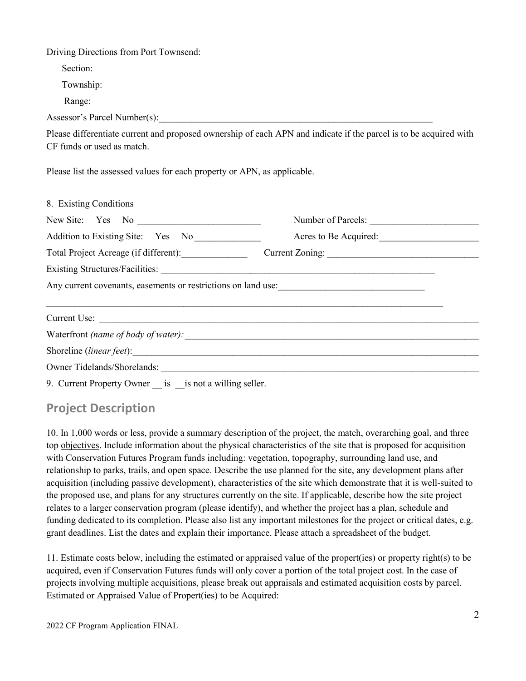Driving Directions from Port Townsend:

Section:

Township:

Range:

Assessor's Parcel Number(s):

Please differentiate current and proposed ownership of each APN and indicate if the parcel is to be acquired with CF funds or used as match.

Please list the assessed values for each property or APN, as applicable.

| 8. Existing Conditions                                |                                                               |  |
|-------------------------------------------------------|---------------------------------------------------------------|--|
|                                                       | Number of Parcels:                                            |  |
| Addition to Existing Site: Yes No                     | Acres to Be Acquired:                                         |  |
| Total Project Acreage (if different):                 | Current Zoning:                                               |  |
|                                                       |                                                               |  |
|                                                       | Any current covenants, easements or restrictions on land use: |  |
|                                                       |                                                               |  |
|                                                       |                                                               |  |
|                                                       |                                                               |  |
|                                                       |                                                               |  |
|                                                       | Owner Tidelands/Shorelands:                                   |  |
| 9. Current Property Owner is is not a willing seller. |                                                               |  |

# **Project Description**

10. In 1,000 words or less, provide a summary description of the project, the match, overarching goal, and three top objectives. Include information about the physical characteristics of the site that is proposed for acquisition with Conservation Futures Program funds including: vegetation, topography, surrounding land use, and relationship to parks, trails, and open space. Describe the use planned for the site, any development plans after acquisition (including passive development), characteristics of the site which demonstrate that it is well-suited to the proposed use, and plans for any structures currently on the site. If applicable, describe how the site project relates to a larger conservation program (please identify), and whether the project has a plan, schedule and funding dedicated to its completion. Please also list any important milestones for the project or critical dates, e.g. grant deadlines. List the dates and explain their importance. Please attach a spreadsheet of the budget.

11. Estimate costs below, including the estimated or appraised value of the propert(ies) or property right(s) to be acquired, even if Conservation Futures funds will only cover a portion of the total project cost. In the case of projects involving multiple acquisitions, please break out appraisals and estimated acquisition costs by parcel. Estimated or Appraised Value of Propert(ies) to be Acquired: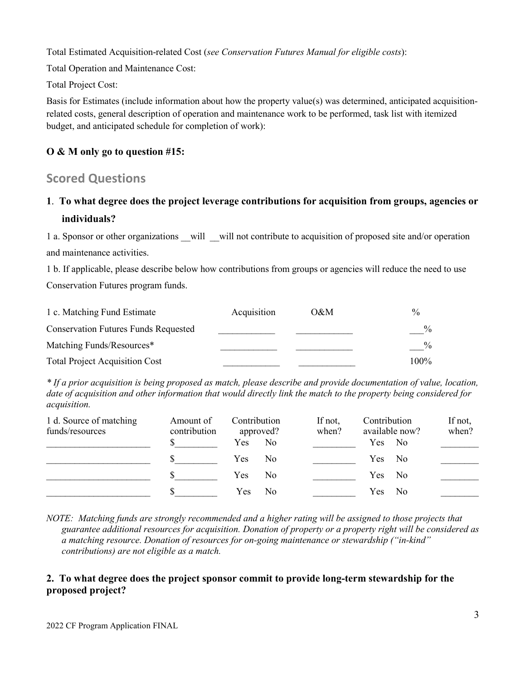Total Estimated Acquisition-related Cost (*see Conservation Futures Manual for eligible costs*):

Total Operation and Maintenance Cost:

Total Project Cost:

Basis for Estimates (include information about how the property value(s) was determined, anticipated acquisitionrelated costs, general description of operation and maintenance work to be performed, task list with itemized budget, and anticipated schedule for completion of work):

### **O & M only go to question #15:**

### **Scored Questions**

## **1**. **To what degree does the project leverage contributions for acquisition from groups, agencies or individuals?**

1 a. Sponsor or other organizations will will not contribute to acquisition of proposed site and/or operation and maintenance activities.

1 b. If applicable, please describe below how contributions from groups or agencies will reduce the need to use Conservation Futures program funds.

| 1 c. Matching Fund Estimate                 | Acquisition | O&M | $\frac{0}{0}$ |
|---------------------------------------------|-------------|-----|---------------|
| <b>Conservation Futures Funds Requested</b> |             |     | $\frac{0}{0}$ |
| Matching Funds/Resources*                   |             |     | $\%$          |
| <b>Total Project Acquisition Cost</b>       |             |     | 100%          |

*\* If a prior acquisition is being proposed as match, please describe and provide documentation of value, location, date of acquisition and other information that would directly link the match to the property being considered for acquisition.*

| 1 d. Source of matching<br>funds/resources | Amount of<br>contribution | Contribution<br>approved?    | If not,<br>when? | Contribution<br>available now? | If not,<br>when? |
|--------------------------------------------|---------------------------|------------------------------|------------------|--------------------------------|------------------|
|                                            |                           | No.<br>Yes                   |                  | Yes No                         |                  |
|                                            |                           | N <sub>0</sub><br><b>Yes</b> |                  | Yes No                         |                  |
|                                            |                           | N <sub>0</sub><br><b>Yes</b> |                  | Yes No                         |                  |
|                                            |                           | Yes No                       |                  | Yes.<br>N <sub>0</sub>         |                  |

*NOTE: Matching funds are strongly recommended and a higher rating will be assigned to those projects that guarantee additional resources for acquisition. Donation of property or a property right will be considered as a matching resource. Donation of resources for on-going maintenance or stewardship ("in-kind" contributions) are not eligible as a match.*

### **2. To what degree does the project sponsor commit to provide long-term stewardship for the proposed project?**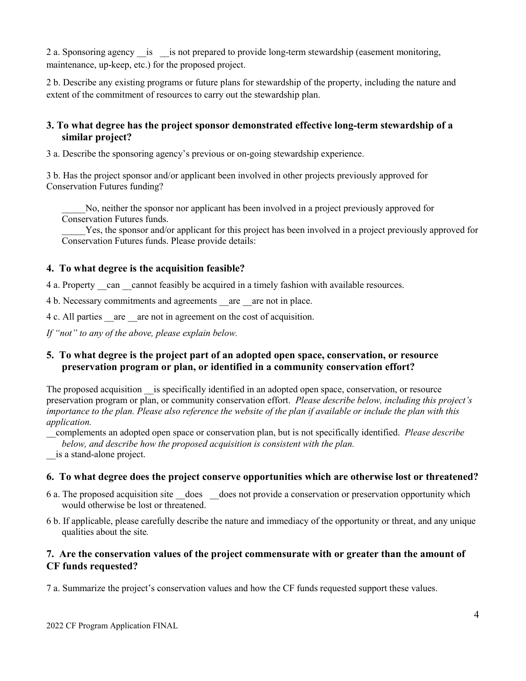2 a. Sponsoring agency is is not prepared to provide long-term stewardship (easement monitoring, maintenance, up-keep, etc.) for the proposed project.

2 b. Describe any existing programs or future plans for stewardship of the property, including the nature and extent of the commitment of resources to carry out the stewardship plan.

#### **3. To what degree has the project sponsor demonstrated effective long-term stewardship of a similar project?**

3 a. Describe the sponsoring agency's previous or on-going stewardship experience.

3 b. Has the project sponsor and/or applicant been involved in other projects previously approved for Conservation Futures funding?

\_\_\_\_\_No, neither the sponsor nor applicant has been involved in a project previously approved for Conservation Futures funds.

Yes, the sponsor and/or applicant for this project has been involved in a project previously approved for Conservation Futures funds. Please provide details:

#### **4. To what degree is the acquisition feasible?**

4 a. Property can cannot feasibly be acquired in a timely fashion with available resources.

4 b. Necessary commitments and agreements are are not in place.

4 c. All parties are are not in agreement on the cost of acquisition.

*If "not" to any of the above, please explain below.*

#### **5. To what degree is the project part of an adopted open space, conservation, or resource preservation program or plan, or identified in a community conservation effort?**

The proposed acquisition is specifically identified in an adopted open space, conservation, or resource preservation program or plan, or community conservation effort. *Please describe below, including this project's importance to the plan. Please also reference the website of the plan if available or include the plan with this application.* 

\_\_complements an adopted open space or conservation plan, but is not specifically identified. *Please describe below, and describe how the proposed acquisition is consistent with the plan.*

\_\_is a stand-alone project.

#### **6. To what degree does the project conserve opportunities which are otherwise lost or threatened?**

- 6 a. The proposed acquisition site \_\_does \_\_does not provide a conservation or preservation opportunity which would otherwise be lost or threatened.
- 6 b. If applicable, please carefully describe the nature and immediacy of the opportunity or threat, and any unique qualities about the site*.*

#### **7. Are the conservation values of the project commensurate with or greater than the amount of CF funds requested?**

7 a. Summarize the project's conservation values and how the CF funds requested support these values.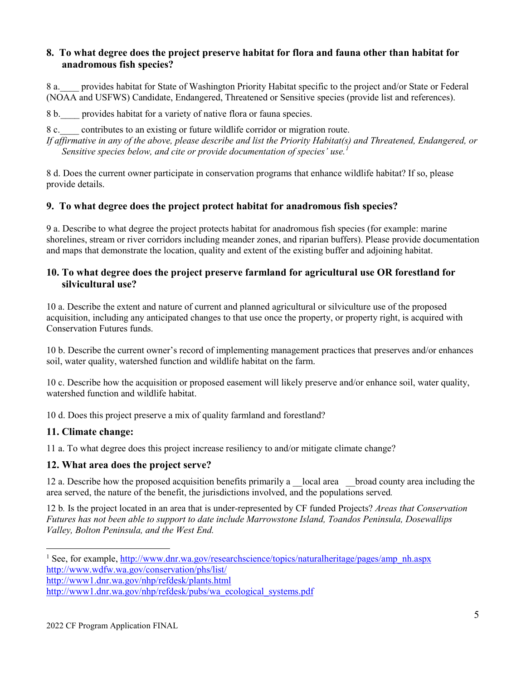#### **8. To what degree does the project preserve habitat for flora and fauna other than habitat for anadromous fish species?**

8 a.\_\_\_\_ provides habitat for State of Washington Priority Habitat specific to the project and/or State or Federal (NOAA and USFWS) Candidate, Endangered, Threatened or Sensitive species (provide list and references).

8 b.\_\_\_\_ provides habitat for a variety of native flora or fauna species.

8 c. contributes to an existing or future wildlife corridor or migration route.

*If affirmative in any of the above, please describe and list the Priority Habitat(s) and Threatened, Endangered, or Sensitive species below, and cite or provide documentation of species' use.[1](#page-4-0)*

8 d. Does the current owner participate in conservation programs that enhance wildlife habitat? If so, please provide details.

#### **9. To what degree does the project protect habitat for anadromous fish species?**

9 a. Describe to what degree the project protects habitat for anadromous fish species (for example: marine shorelines, stream or river corridors including meander zones, and riparian buffers). Please provide documentation and maps that demonstrate the location, quality and extent of the existing buffer and adjoining habitat.

#### **10. To what degree does the project preserve farmland for agricultural use OR forestland for silvicultural use?**

10 a. Describe the extent and nature of current and planned agricultural or silviculture use of the proposed acquisition, including any anticipated changes to that use once the property, or property right, is acquired with Conservation Futures funds.

10 b. Describe the current owner's record of implementing management practices that preserves and/or enhances soil, water quality, watershed function and wildlife habitat on the farm.

10 c. Describe how the acquisition or proposed easement will likely preserve and/or enhance soil, water quality, watershed function and wildlife habitat.

10 d. Does this project preserve a mix of quality farmland and forestland?

#### **11. Climate change:**

11 a. To what degree does this project increase resiliency to and/or mitigate climate change?

#### **12. What area does the project serve?**

12 a. Describe how the proposed acquisition benefits primarily a \_\_local area \_\_\_broad county area including the area served, the nature of the benefit, the jurisdictions involved, and the populations served*.*

12 b*.* Is the project located in an area that is under-represented by CF funded Projects? *Areas that Conservation Futures has not been able to support to date include Marrowstone Island, Toandos Peninsula, Dosewallips Valley, Bolton Peninsula, and the West End.*

<span id="page-4-0"></span><sup>&</sup>lt;sup>1</sup> See, for example, [http://www.dnr.wa.gov/researchscience/topics/naturalheritage/pages/amp\\_nh.aspx](http://www.dnr.wa.gov/researchscience/topics/naturalheritage/pages/amp_nh.aspx) [http://www.wdfw.wa.gov/conservation/phs/list/](https://owa.co.jefferson.wa.us/exchweb/bin/redir.asp?URL=http://www.wdfw.wa.gov/conservation/phs/list/)

[http://www1.dnr.wa.gov/nhp/refdesk/plants.html](https://owa.co.jefferson.wa.us/exchweb/bin/redir.asp?URL=http://www1.dnr.wa.gov/nhp/refdesk/plants.html)

[http://www1.dnr.wa.gov/nhp/refdesk/pubs/wa\\_ecological\\_systems.pdf](http://www1.dnr.wa.gov/nhp/refdesk/pubs/wa_ecological_systems.pdf)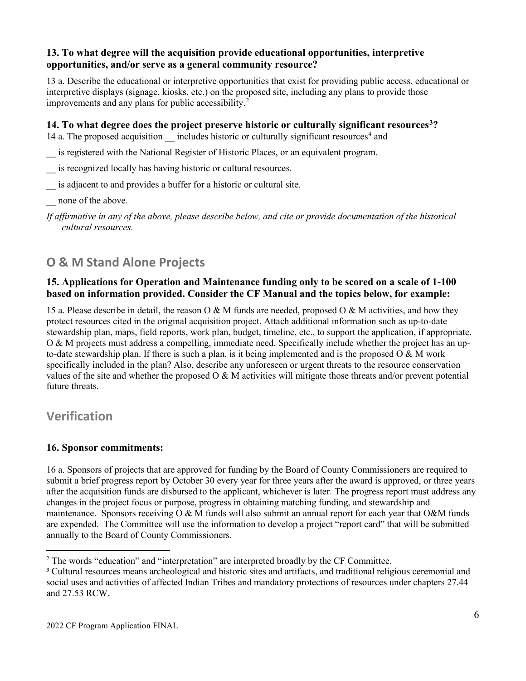#### **13. To what degree will the acquisition provide educational opportunities, interpretive opportunities, and/or serve as a general community resource?**

13 a. Describe the educational or interpretive opportunities that exist for providing public access, educational or interpretive displays (signage, kiosks, etc.) on the proposed site, including any plans to provide those improvements and any plans for public accessibility.[2](#page-5-0)

#### **14. To what degree does the project preserve historic or culturally significant resources[3](#page-5-1)?**

1[4](#page-5-2) a. The proposed acquisition includes historic or culturally significant resources<sup>4</sup> and

- \_\_ is registered with the National Register of Historic Places, or an equivalent program.
- \_\_ is recognized locally has having historic or cultural resources.
- is adjacent to and provides a buffer for a historic or cultural site.
- none of the above.

*If affirmative in any of the above, please describe below, and cite or provide documentation of the historical cultural resources.*

# **O & M Stand Alone Projects**

#### **15. Applications for Operation and Maintenance funding only to be scored on a scale of 1-100 based on information provided. Consider the CF Manual and the topics below, for example:**

15 a. Please describe in detail, the reason O & M funds are needed, proposed O & M activities, and how they protect resources cited in the original acquisition project. Attach additional information such as up-to-date stewardship plan, maps, field reports, work plan, budget, timeline, etc., to support the application, if appropriate. O & M projects must address a compelling, immediate need. Specifically include whether the project has an upto-date stewardship plan. If there is such a plan, is it being implemented and is the proposed  $O & M$  work specifically included in the plan? Also, describe any unforeseen or urgent threats to the resource conservation values of the site and whether the proposed  $\overline{O} \& M$  activities will mitigate those threats and/or prevent potential future threats.

## **Verification**

#### **16. Sponsor commitments:**

16 a. Sponsors of projects that are approved for funding by the Board of County Commissioners are required to submit a brief progress report by October 30 every year for three years after the award is approved, or three years after the acquisition funds are disbursed to the applicant, whichever is later. The progress report must address any changes in the project focus or purpose, progress in obtaining matching funding, and stewardship and maintenance. Sponsors receiving  $O & M$  funds will also submit an annual report for each year that  $O & M$  funds are expended. The Committee will use the information to develop a project "report card" that will be submitted annually to the Board of County Commissioners.

<span id="page-5-0"></span> $2$  The words "education" and "interpretation" are interpreted broadly by the CF Committee.

<span id="page-5-2"></span><span id="page-5-1"></span>**<sup>3</sup>** Cultural resources means archeological and historic sites and artifacts, and traditional religious ceremonial and social uses and activities of affected Indian Tribes and mandatory protections of resources under chapters 27.44 and 27.53 RCW.